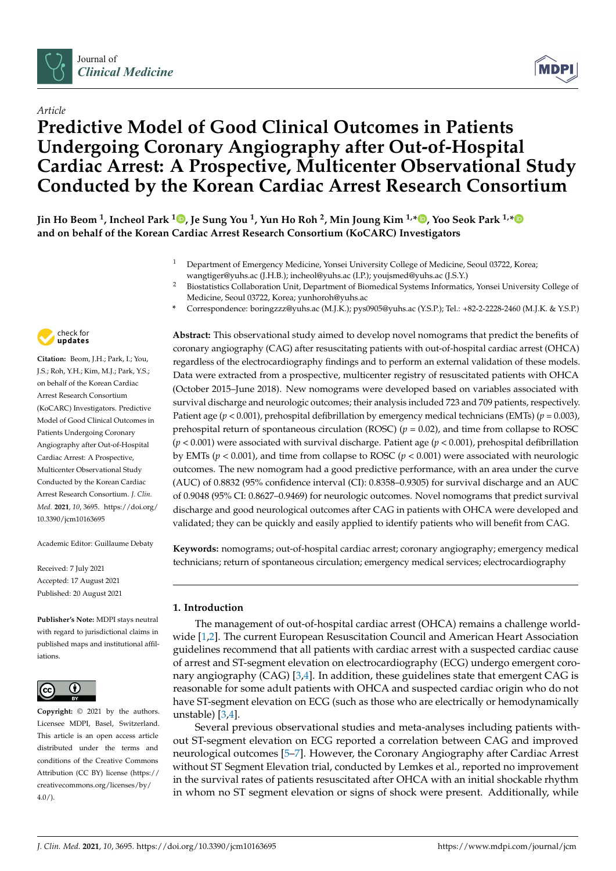



# *Article* **Predictive Model of Good Clinical Outcomes in Patients Undergoing Coronary Angiography after Out-of-Hospital Cardiac Arrest: A Prospective, Multicenter Observational Study Conducted by the Korean Cardiac Arrest Research Consortium**

**Jin Ho Beom <sup>1</sup> , Incheol Park <sup>1</sup> [,](https://orcid.org/0000-0001-7033-766X) Je Sung You <sup>1</sup> , Yun Ho Roh <sup>2</sup> , Min Joung Kim 1,\* [,](https://orcid.org/0000-0003-1634-5209) Yoo Seok Park 1,[\\*](https://orcid.org/0000-0003-1543-4664) and on behalf of the Korean Cardiac Arrest Research Consortium (KoCARC) Investigators**

- <sup>1</sup> Department of Emergency Medicine, Yonsei University College of Medicine, Seoul 03722, Korea; wangtiger@yuhs.ac (J.H.B.); incheol@yuhs.ac (I.P.); youjsmed@yuhs.ac (J.S.Y.)
- <sup>2</sup> Biostatistics Collaboration Unit, Department of Biomedical Systems Informatics, Yonsei University College of Medicine, Seoul 03722, Korea; yunhoroh@yuhs.ac
- **\*** Correspondence: boringzzz@yuhs.ac (M.J.K.); pys0905@yuhs.ac (Y.S.P.); Tel.: +82-2-2228-2460 (M.J.K. & Y.S.P.)



**Citation:** Beom, J.H.; Park, I.; You, J.S.; Roh, Y.H.; Kim, M.J.; Park, Y.S.; on behalf of the Korean Cardiac Arrest Research Consortium (KoCARC) Investigators. Predictive Model of Good Clinical Outcomes in Patients Undergoing Coronary Angiography after Out-of-Hospital Cardiac Arrest: A Prospective, Multicenter Observational Study Conducted by the Korean Cardiac Arrest Research Consortium. *J. Clin. Med.* **2021**, *10*, 3695. [https://doi.org/](https://doi.org/10.3390/jcm10163695) [10.3390/jcm10163695](https://doi.org/10.3390/jcm10163695)

Academic Editor: Guillaume Debaty

Received: 7 July 2021 Accepted: 17 August 2021 Published: 20 August 2021

**Publisher's Note:** MDPI stays neutral with regard to jurisdictional claims in published maps and institutional affiliations.



**Copyright:** © 2021 by the authors. Licensee MDPI, Basel, Switzerland. This article is an open access article distributed under the terms and conditions of the Creative Commons Attribution (CC BY) license (https:/[/](https://creativecommons.org/licenses/by/4.0/) [creativecommons.org/licenses/by/](https://creativecommons.org/licenses/by/4.0/)  $4.0/$ ).

**Abstract:** This observational study aimed to develop novel nomograms that predict the benefits of coronary angiography (CAG) after resuscitating patients with out-of-hospital cardiac arrest (OHCA) regardless of the electrocardiography findings and to perform an external validation of these models. Data were extracted from a prospective, multicenter registry of resuscitated patients with OHCA (October 2015–June 2018). New nomograms were developed based on variables associated with survival discharge and neurologic outcomes; their analysis included 723 and 709 patients, respectively. Patient age ( $p < 0.001$ ), prehospital defibrillation by emergency medical technicians (EMTs) ( $p = 0.003$ ), prehospital return of spontaneous circulation (ROSC)  $(p = 0.02)$ , and time from collapse to ROSC (*p* < 0.001) were associated with survival discharge. Patient age (*p* < 0.001), prehospital defibrillation by EMTs (*p* < 0.001), and time from collapse to ROSC (*p* < 0.001) were associated with neurologic outcomes. The new nomogram had a good predictive performance, with an area under the curve (AUC) of 0.8832 (95% confidence interval (CI): 0.8358–0.9305) for survival discharge and an AUC of 0.9048 (95% CI: 0.8627–0.9469) for neurologic outcomes. Novel nomograms that predict survival discharge and good neurological outcomes after CAG in patients with OHCA were developed and validated; they can be quickly and easily applied to identify patients who will benefit from CAG.

**Keywords:** nomograms; out-of-hospital cardiac arrest; coronary angiography; emergency medical technicians; return of spontaneous circulation; emergency medical services; electrocardiography

# **1. Introduction**

The management of out-of-hospital cardiac arrest (OHCA) remains a challenge worldwide [\[1](#page-11-0)[,2\]](#page-11-1). The current European Resuscitation Council and American Heart Association guidelines recommend that all patients with cardiac arrest with a suspected cardiac cause of arrest and ST-segment elevation on electrocardiography (ECG) undergo emergent coronary angiography (CAG) [\[3,](#page-11-2)[4\]](#page-11-3). In addition, these guidelines state that emergent CAG is reasonable for some adult patients with OHCA and suspected cardiac origin who do not have ST-segment elevation on ECG (such as those who are electrically or hemodynamically unstable) [\[3](#page-11-2)[,4\]](#page-11-3).

Several previous observational studies and meta-analyses including patients without ST-segment elevation on ECG reported a correlation between CAG and improved neurological outcomes [\[5–](#page-11-4)[7\]](#page-11-5). However, the Coronary Angiography after Cardiac Arrest without ST Segment Elevation trial, conducted by Lemkes et al., reported no improvement in the survival rates of patients resuscitated after OHCA with an initial shockable rhythm in whom no ST segment elevation or signs of shock were present. Additionally, while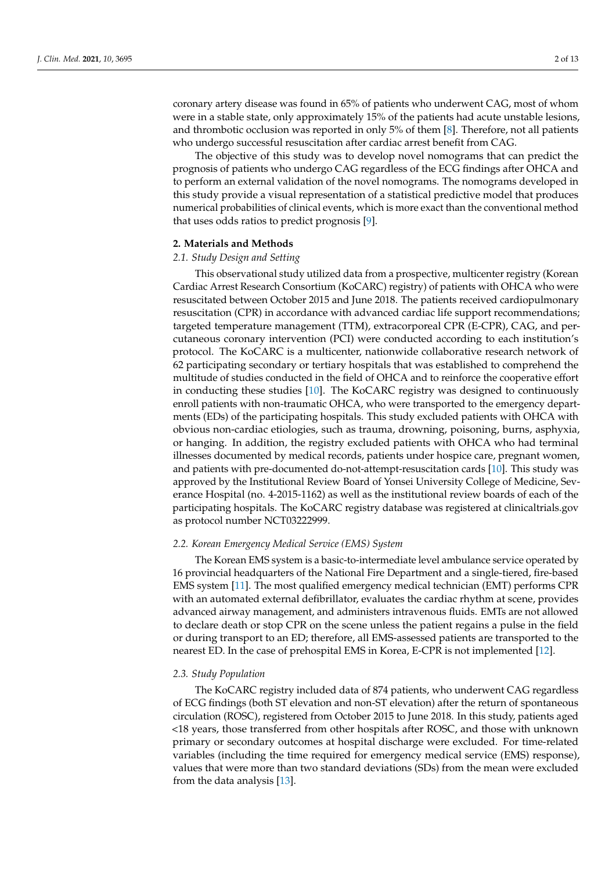coronary artery disease was found in 65% of patients who underwent CAG, most of whom were in a stable state, only approximately 15% of the patients had acute unstable lesions, and thrombotic occlusion was reported in only 5% of them [\[8\]](#page-11-6). Therefore, not all patients who undergo successful resuscitation after cardiac arrest benefit from CAG.

The objective of this study was to develop novel nomograms that can predict the prognosis of patients who undergo CAG regardless of the ECG findings after OHCA and to perform an external validation of the novel nomograms. The nomograms developed in this study provide a visual representation of a statistical predictive model that produces numerical probabilities of clinical events, which is more exact than the conventional method that uses odds ratios to predict prognosis [\[9\]](#page-11-7).

#### **2. Materials and Methods**

#### *2.1. Study Design and Setting*

This observational study utilized data from a prospective, multicenter registry (Korean Cardiac Arrest Research Consortium (KoCARC) registry) of patients with OHCA who were resuscitated between October 2015 and June 2018. The patients received cardiopulmonary resuscitation (CPR) in accordance with advanced cardiac life support recommendations; targeted temperature management (TTM), extracorporeal CPR (E-CPR), CAG, and percutaneous coronary intervention (PCI) were conducted according to each institution's protocol. The KoCARC is a multicenter, nationwide collaborative research network of 62 participating secondary or tertiary hospitals that was established to comprehend the multitude of studies conducted in the field of OHCA and to reinforce the cooperative effort in conducting these studies [\[10\]](#page-11-8). The KoCARC registry was designed to continuously enroll patients with non-traumatic OHCA, who were transported to the emergency departments (EDs) of the participating hospitals. This study excluded patients with OHCA with obvious non-cardiac etiologies, such as trauma, drowning, poisoning, burns, asphyxia, or hanging. In addition, the registry excluded patients with OHCA who had terminal illnesses documented by medical records, patients under hospice care, pregnant women, and patients with pre-documented do-not-attempt-resuscitation cards [\[10\]](#page-11-8). This study was approved by the Institutional Review Board of Yonsei University College of Medicine, Severance Hospital (no. 4-2015-1162) as well as the institutional review boards of each of the participating hospitals. The KoCARC registry database was registered at clinicaltrials.gov as protocol number NCT03222999.

#### *2.2. Korean Emergency Medical Service (EMS) System*

The Korean EMS system is a basic-to-intermediate level ambulance service operated by 16 provincial headquarters of the National Fire Department and a single-tiered, fire-based EMS system [\[11\]](#page-11-9). The most qualified emergency medical technician (EMT) performs CPR with an automated external defibrillator, evaluates the cardiac rhythm at scene, provides advanced airway management, and administers intravenous fluids. EMTs are not allowed to declare death or stop CPR on the scene unless the patient regains a pulse in the field or during transport to an ED; therefore, all EMS-assessed patients are transported to the nearest ED. In the case of prehospital EMS in Korea, E-CPR is not implemented [\[12\]](#page-12-0).

# *2.3. Study Population*

The KoCARC registry included data of 874 patients, who underwent CAG regardless of ECG findings (both ST elevation and non-ST elevation) after the return of spontaneous circulation (ROSC), registered from October 2015 to June 2018. In this study, patients aged <18 years, those transferred from other hospitals after ROSC, and those with unknown primary or secondary outcomes at hospital discharge were excluded. For time-related variables (including the time required for emergency medical service (EMS) response), values that were more than two standard deviations (SDs) from the mean were excluded from the data analysis [\[13\]](#page-12-1).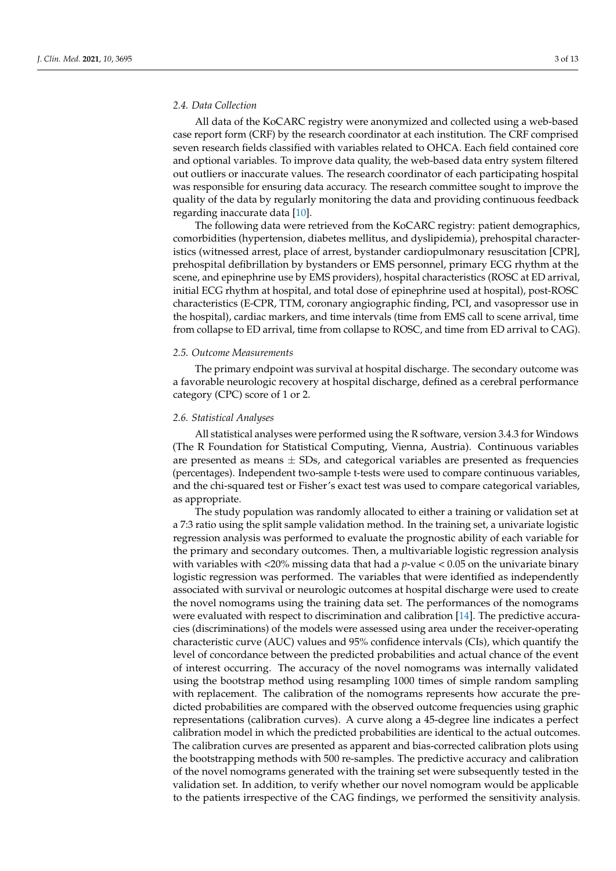#### *2.4. Data Collection*

All data of the KoCARC registry were anonymized and collected using a web-based case report form (CRF) by the research coordinator at each institution. The CRF comprised seven research fields classified with variables related to OHCA. Each field contained core and optional variables. To improve data quality, the web-based data entry system filtered out outliers or inaccurate values. The research coordinator of each participating hospital was responsible for ensuring data accuracy. The research committee sought to improve the quality of the data by regularly monitoring the data and providing continuous feedback regarding inaccurate data [\[10\]](#page-11-8).

The following data were retrieved from the KoCARC registry: patient demographics, comorbidities (hypertension, diabetes mellitus, and dyslipidemia), prehospital characteristics (witnessed arrest, place of arrest, bystander cardiopulmonary resuscitation [CPR], prehospital defibrillation by bystanders or EMS personnel, primary ECG rhythm at the scene, and epinephrine use by EMS providers), hospital characteristics (ROSC at ED arrival, initial ECG rhythm at hospital, and total dose of epinephrine used at hospital), post-ROSC characteristics (E-CPR, TTM, coronary angiographic finding, PCI, and vasopressor use in the hospital), cardiac markers, and time intervals (time from EMS call to scene arrival, time from collapse to ED arrival, time from collapse to ROSC, and time from ED arrival to CAG).

#### *2.5. Outcome Measurements*

The primary endpoint was survival at hospital discharge. The secondary outcome was a favorable neurologic recovery at hospital discharge, defined as a cerebral performance category (CPC) score of 1 or 2.

## *2.6. Statistical Analyses*

All statistical analyses were performed using the R software, version 3.4.3 for Windows (The R Foundation for Statistical Computing, Vienna, Austria). Continuous variables are presented as means  $\pm$  SDs, and categorical variables are presented as frequencies (percentages). Independent two-sample t-tests were used to compare continuous variables, and the chi-squared test or Fisher's exact test was used to compare categorical variables, as appropriate.

The study population was randomly allocated to either a training or validation set at a 7:3 ratio using the split sample validation method. In the training set, a univariate logistic regression analysis was performed to evaluate the prognostic ability of each variable for the primary and secondary outcomes. Then, a multivariable logistic regression analysis with variables with <20% missing data that had a *p*-value < 0.05 on the univariate binary logistic regression was performed. The variables that were identified as independently associated with survival or neurologic outcomes at hospital discharge were used to create the novel nomograms using the training data set. The performances of the nomograms were evaluated with respect to discrimination and calibration [\[14\]](#page-12-2). The predictive accuracies (discriminations) of the models were assessed using area under the receiver-operating characteristic curve (AUC) values and 95% confidence intervals (CIs), which quantify the level of concordance between the predicted probabilities and actual chance of the event of interest occurring. The accuracy of the novel nomograms was internally validated using the bootstrap method using resampling 1000 times of simple random sampling with replacement. The calibration of the nomograms represents how accurate the predicted probabilities are compared with the observed outcome frequencies using graphic representations (calibration curves). A curve along a 45-degree line indicates a perfect calibration model in which the predicted probabilities are identical to the actual outcomes. The calibration curves are presented as apparent and bias-corrected calibration plots using the bootstrapping methods with 500 re-samples. The predictive accuracy and calibration of the novel nomograms generated with the training set were subsequently tested in the validation set. In addition, to verify whether our novel nomogram would be applicable to the patients irrespective of the CAG findings, we performed the sensitivity analysis.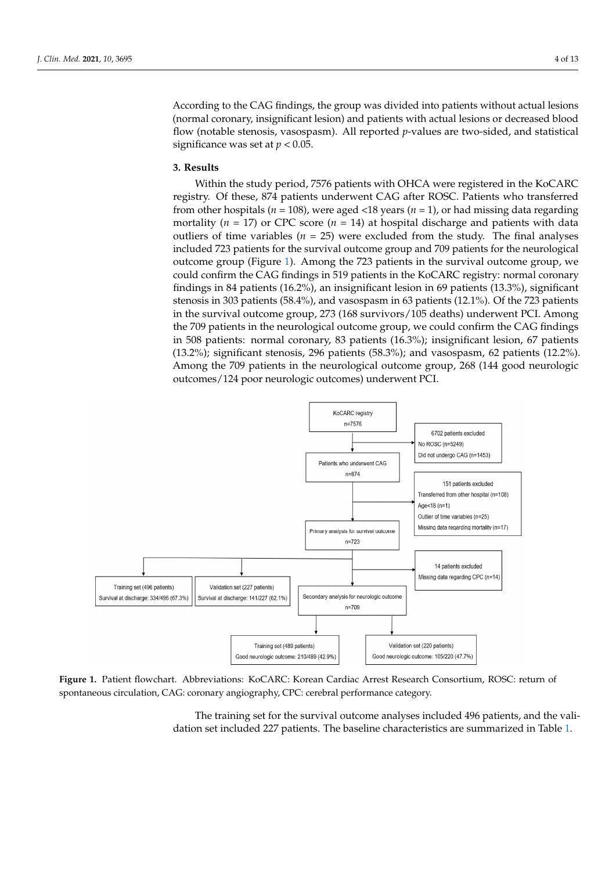According to the CAG findings, the group was divided into patients without actual lesions (normal coronary, insignificant lesion) and patients with actual lesions or decreased blood flow (notable stenosis, vasospasm). All reported *p*-values are two-sided, and statistical significance was set at  $p < 0.05$ .

#### **3. Results 3. Results**

Within the study period, 7576 patients with OHCA were registered in the KoCARC registry. Of these, 874 patients underwent CAG after ROSC. Patients who transferred from other hospitals ( $n = 108$ ), were aged <18 years ( $n = 1$ ), or had missing data regarding  $\overline{CDG}$  score (*n*  $\overline{AD}$ ) at hospital discussed with data outliers with data outliers with data outliers with data outliers mortality ( $n = 17$ ) or CPC score ( $n = 14$ ) at hospital discharge and patients with data outliers of time variables ( $n = 25$ ) were excluded from the study. The final analyses included 723 patients for the survival outcome group and 709 patients for the neurological nicial outcome group (Figure [1\)](#page-3-0). Among the 723 patients in the survival outcome group, we controlled a survival controlled concould confirm the CAG findings in 519 patients in the KoCARC registry: normal coronary findings in 84 patients (16.2%), an insignificant lesion in 69 patients (13.3%), significant stems in 84 patients (16.2%), an insignificant lesion in 69 patients (13.3%), significant stenosis in 303 patients (58.4%), and vasospasm in 63 patients (12.1%). Of the 723 patients stenosis in 303 patients  $(58.4\%)$ , and vasospasm in 63 patients  $(12.1\%)$ . Of the 723 patients in the survival outcome group, 273 (168 survivors/105 deaths) underwent PCI. Among the *formal different group*, *i.e.* (*too survivers*) for dealing) and *in the CAG findings* the 709 patients in the neurological outcome group, we could confirm the CAG findings in 508 patients: normal coronary, 83 patients  $(16.3%)$ ; insignificant lesion, 67 patients (15.2%); significant lesion, 67 patients  $(13.2\%)$ ; significant stenosis, 296 patients (58.3%); and vasospasm, 62 patients (12.2%). Among the 709 patients in the neurological outcome group, 268 (144 good neurologic outcomes/124 poor neurologic outcomes) underwent PCI. neurologic outcomes) underwent PCI. Within the study period, 7576 patients with OHCA were registered in the KoCARC whilm the study period, 7576 patients while CITCA were registered in the ROCANC. firm the CAG findings in  $\frac{1}{2}$  finding in  $\frac{1}{2}$  patients in the KoCARC registry: normal coronary findings in the KoCARC registry: normal coronary findings in the KoCARC registry: normal coronary findings in the Ko

<span id="page-3-0"></span>

Figure 1. Patient flowchart. Abbreviations: KoCARC: Korean Cardiac Arrest Research Consortium, ROSC: return of spontaneous circulation, CAG: coronary angiography, CPC: cerebral performance category.

The training set for the survival outcome analyses included 496 patients, and the validation set included 227 patients. The baseline characteristics are summarized in Table [1.](#page-4-0)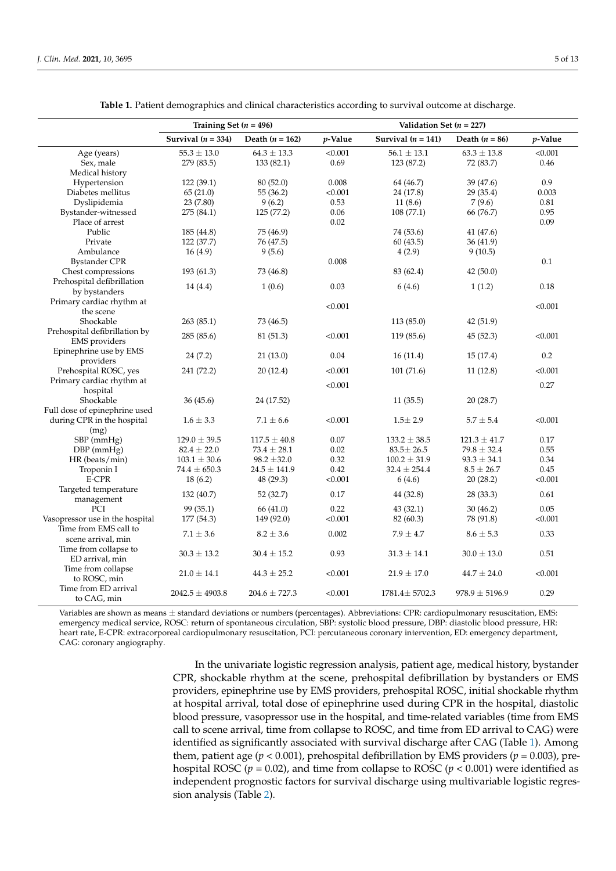<span id="page-4-0"></span>

|                                 | Training Set $(n = 496)$ |                   | Validation Set $(n = 227)$ |                      |                    |            |
|---------------------------------|--------------------------|-------------------|----------------------------|----------------------|--------------------|------------|
|                                 | Survival $(n = 334)$     | Death $(n = 162)$ | $p$ -Value                 | Survival $(n = 141)$ | Death $(n = 86)$   | $p$ -Value |
| Age (years)                     | $55.3$ $\pm$ $13.0$      | $64.3 \pm 13.3$   | < 0.001                    | $56.1 \pm 13.1$      | $63.3 \pm 13.8$    | < 0.001    |
| Sex, male                       | 279 (83.5)               | 133 (82.1)        | 0.69                       | 123 (87.2)           | 72 (83.7)          | 0.46       |
| Medical history                 |                          |                   |                            |                      |                    |            |
| Hypertension                    | 122(39.1)                | 80 (52.0)         | 0.008                      | 64 (46.7)            | 39 (47.6)          | 0.9        |
| Diabetes mellitus               | 65(21.0)                 | 55 (36.2)         | < 0.001                    | 24 (17.8)            | 29 (35.4)          | 0.003      |
| Dyslipidemia                    | 23 (7.80)                | 9(6.2)            | 0.53                       | 11(8.6)              | 7(9.6)             | 0.81       |
| Bystander-witnessed             | 275 (84.1)               | 125 (77.2)        | 0.06                       | 108 (77.1)           | 66 (76.7)          | 0.95       |
| Place of arrest                 |                          |                   | 0.02                       |                      |                    | 0.09       |
| Public                          | 185 (44.8)               | 75 (46.9)         |                            | 74 (53.6)            | 41 (47.6)          |            |
| Private                         | 122 (37.7)               | 76 (47.5)         |                            | 60(43.5)             | 36(41.9)           |            |
| Ambulance                       | 16(4.9)                  | 9(5.6)            |                            | 4(2.9)               | 9(10.5)            |            |
| <b>Bystander CPR</b>            |                          |                   | 0.008                      |                      |                    | 0.1        |
| Chest compressions              | 193 (61.3)               | 73 (46.8)         |                            | 83 (62.4)            | 42(50.0)           |            |
| Prehospital defibrillation      | 14(4.4)                  | 1(0.6)            | 0.03                       | 6(4.6)               | 1(1.2)             | 0.18       |
| by bystanders                   |                          |                   |                            |                      |                    |            |
| Primary cardiac rhythm at       |                          |                   | < 0.001                    |                      |                    | < 0.001    |
| the scene                       |                          |                   |                            |                      |                    |            |
| Shockable                       | 263(85.1)                | 73 (46.5)         |                            | 113 (85.0)           | 42 (51.9)          |            |
| Prehospital defibrillation by   | 285 (85.6)               | 81 (51.3)         | < 0.001                    | 119 (85.6)           | 45(52.3)           | < 0.001    |
| EMS providers                   |                          |                   |                            |                      |                    |            |
| Epinephrine use by EMS          | 24 (7.2)                 | 21 (13.0)         | 0.04                       | 16(11.4)             | 15(17.4)           | $0.2\,$    |
| providers                       |                          |                   |                            |                      |                    |            |
| Prehospital ROSC, yes           | 241 (72.2)               | 20 (12.4)         | < 0.001                    | 101 (71.6)           | 11(12.8)           | < 0.001    |
| Primary cardiac rhythm at       |                          |                   | < 0.001                    |                      |                    | 0.27       |
| hospital                        |                          |                   |                            |                      |                    |            |
| Shockable                       | 36(45.6)                 | 24 (17.52)        |                            | 11(35.5)             | 20(28.7)           |            |
| Full dose of epinephrine used   |                          | $7.1 \pm 6.6$     | < 0.001                    |                      |                    |            |
| during CPR in the hospital      | $1.6 \pm 3.3$            |                   |                            | $1.5 \pm 2.9$        | $5.7 \pm 5.4$      | < 0.001    |
| (mg)<br>SBP (mmHg)              | $129.0 \pm 39.5$         | $117.5 \pm 40.8$  | 0.07                       | $133.2 \pm 38.5$     | $121.3 \pm 41.7$   | 0.17       |
| $DBP$ (mmHg)                    | $82.4 \pm 22.0$          | $73.4 \pm 28.1$   | 0.02                       | $83.5 \pm 26.5$      | $79.8 \pm 32.4$    | 0.55       |
| HR (beats/min)                  | $103.1 \pm 30.6$         | $98.2 \pm 32.0$   | 0.32                       | $100.2 \pm 31.9$     | $93.3 \pm 34.1$    | 0.34       |
| Troponin I                      | $74.4 \pm 650.3$         | $24.5 \pm 141.9$  | 0.42                       | $32.4 \pm 254.4$     | $8.5 \pm 26.7$     | 0.45       |
| E-CPR                           | 18(6.2)                  | 48 (29.3)         | < 0.001                    | 6(4.6)               | 20(28.2)           | < 0.001    |
| Targeted temperature            |                          |                   |                            |                      |                    |            |
| management                      | 132 (40.7)               | 52 (32.7)         | 0.17                       | 44 (32.8)            | 28 (33.3)          | 0.61       |
| PCI                             | 99 (35.1)                | 66 (41.0)         | 0.22                       | 43 (32.1)            | 30(46.2)           | 0.05       |
| Vasopressor use in the hospital | 177 (54.3)               | 149 (92.0)        | < 0.001                    | 82 (60.3)            | 78 (91.8)          | < 0.001    |
| Time from EMS call to           |                          |                   |                            |                      |                    |            |
| scene arrival, min              | $7.1 \pm 3.6$            | $8.2 \pm 3.6$     | 0.002                      | $7.9 \pm 4.7$        | $8.6 \pm 5.3$      | 0.33       |
| Time from collapse to           |                          |                   |                            |                      |                    |            |
| ED arrival, min                 | $30.3 \pm 13.2$          | $30.4 \pm 15.2$   | 0.93                       | $31.3 \pm 14.1$      | $30.0 \pm 13.0$    | $0.51\,$   |
| Time from collapse              |                          |                   |                            |                      |                    |            |
| to ROSC, min                    | $21.0 \pm 14.1$          | $44.3 \pm 25.2$   | < 0.001                    | $21.9 \pm 17.0$      | $44.7 \pm 24.0$    | < 0.001    |
| Time from ED arrival            |                          |                   |                            |                      |                    |            |
| to CAG, min                     | $2042.5 \pm 4903.8$      | $204.6 \pm 727.3$ | < 0.001                    | $1781.4 \pm 5702.3$  | $978.9 \pm 5196.9$ | 0.29       |
|                                 |                          |                   |                            |                      |                    |            |

**Table 1.** Patient demographics and clinical characteristics according to survival outcome at discharge.

Variables are shown as means ± standard deviations or numbers (percentages). Abbreviations: CPR: cardiopulmonary resuscitation, EMS: emergency medical service, ROSC: return of spontaneous circulation, SBP: systolic blood pressure, DBP: diastolic blood pressure, HR: heart rate, E-CPR: extracorporeal cardiopulmonary resuscitation, PCI: percutaneous coronary intervention, ED: emergency department, CAG: coronary angiography.

> In the univariate logistic regression analysis, patient age, medical history, bystander CPR, shockable rhythm at the scene, prehospital defibrillation by bystanders or EMS providers, epinephrine use by EMS providers, prehospital ROSC, initial shockable rhythm at hospital arrival, total dose of epinephrine used during CPR in the hospital, diastolic blood pressure, vasopressor use in the hospital, and time-related variables (time from EMS call to scene arrival, time from collapse to ROSC, and time from ED arrival to CAG) were identified as significantly associated with survival discharge after CAG (Table [1\)](#page-4-0). Among them, patient age (*p* < 0.001), prehospital defibrillation by EMS providers (*p* = 0.003), prehospital ROSC ( $p = 0.02$ ), and time from collapse to ROSC ( $p < 0.001$ ) were identified as independent prognostic factors for survival discharge using multivariable logistic regression analysis (Table [2\)](#page-5-0).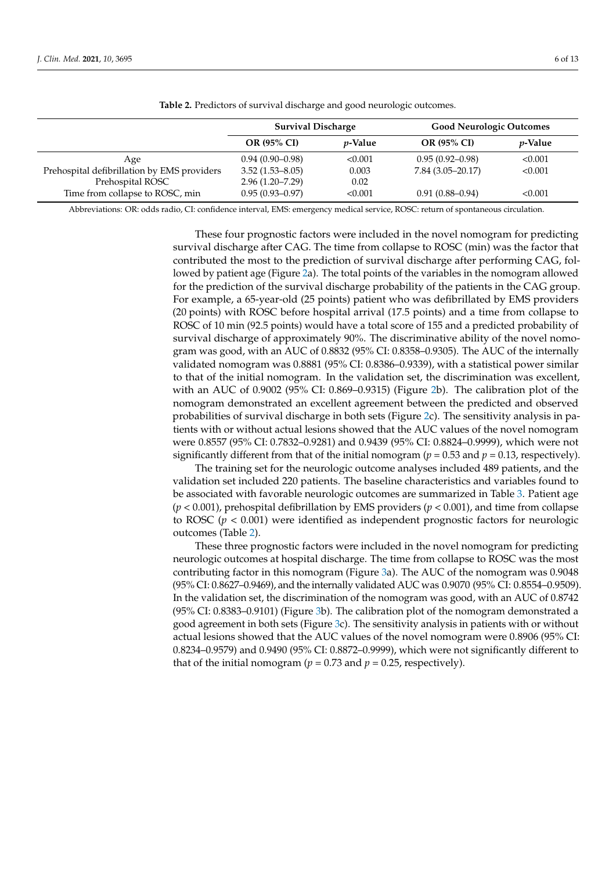<span id="page-5-0"></span>

|                                             | <b>Survival Discharge</b> |                 | <b>Good Neurologic Outcomes</b> |                 |
|---------------------------------------------|---------------------------|-----------------|---------------------------------|-----------------|
|                                             | <b>OR (95% CI)</b>        | <i>v</i> -Value | <b>OR (95% CI)</b>              | <i>v</i> -Value |
| Age                                         | $0.94(0.90-0.98)$         | < 0.001         | $0.95(0.92 - 0.98)$             | < 0.001         |
| Prehospital defibrillation by EMS providers | $3.52(1.53 - 8.05)$       | 0.003           | $7.84(3.05-20.17)$              | < 0.001         |
| Prehospital ROSC                            | $2.96(1.20 - 7.29)$       | 0.02            |                                 |                 |
| Time from collapse to ROSC, min             | $0.95(0.93 - 0.97)$       | < 0.001         | $0.91(0.88 - 0.94)$             | < 0.001         |

**Table 2.** Predictors of survival discharge and good neurologic outcomes.

Abbreviations: OR: odds radio, CI: confidence interval, EMS: emergency medical service, ROSC: return of spontaneous circulation.

These four prognostic factors were included in the novel nomogram for predicting survival discharge after CAG. The time from collapse to ROSC (min) was the factor that contributed the most to the prediction of survival discharge after performing CAG, followed by patient age (Figure [2a](#page-6-0)). The total points of the variables in the nomogram allowed for the prediction of the survival discharge probability of the patients in the CAG group. For example, a 65-year-old (25 points) patient who was defibrillated by EMS providers (20 points) with ROSC before hospital arrival (17.5 points) and a time from collapse to ROSC of 10 min (92.5 points) would have a total score of 155 and a predicted probability of survival discharge of approximately 90%. The discriminative ability of the novel nomogram was good, with an AUC of 0.8832 (95% CI: 0.8358–0.9305). The AUC of the internally validated nomogram was 0.8881 (95% CI: 0.8386–0.9339), with a statistical power similar to that of the initial nomogram. In the validation set, the discrimination was excellent, with an AUC of 0.9002 (95% CI: 0.869–0.9315) (Figure [2b](#page-6-0)). The calibration plot of the nomogram demonstrated an excellent agreement between the predicted and observed probabilities of survival discharge in both sets (Figure [2c](#page-6-0)). The sensitivity analysis in patients with or without actual lesions showed that the AUC values of the novel nomogram were 0.8557 (95% CI: 0.7832–0.9281) and 0.9439 (95% CI: 0.8824–0.9999), which were not significantly different from that of the initial nomogram ( $p = 0.53$  and  $p = 0.13$ , respectively).

The training set for the neurologic outcome analyses included 489 patients, and the validation set included 220 patients. The baseline characteristics and variables found to be associated with favorable neurologic outcomes are summarized in Table [3.](#page-7-0) Patient age (*p* < 0.001), prehospital defibrillation by EMS providers (*p* < 0.001), and time from collapse to ROSC  $(p < 0.001)$  were identified as independent prognostic factors for neurologic outcomes (Table [2\)](#page-5-0).

These three prognostic factors were included in the novel nomogram for predicting neurologic outcomes at hospital discharge. The time from collapse to ROSC was the most contributing factor in this nomogram (Figure [3a](#page-8-0)). The AUC of the nomogram was 0.9048 (95% CI: 0.8627–0.9469), and the internally validated AUC was 0.9070 (95% CI: 0.8554–0.9509). In the validation set, the discrimination of the nomogram was good, with an AUC of 0.8742 (95% CI: 0.8383–0.9101) (Figure [3b](#page-8-0)). The calibration plot of the nomogram demonstrated a good agreement in both sets (Figure [3c](#page-8-0)). The sensitivity analysis in patients with or without actual lesions showed that the AUC values of the novel nomogram were 0.8906 (95% CI: 0.8234–0.9579) and 0.9490 (95% CI: 0.8872–0.9999), which were not significantly different to that of the initial nomogram ( $p = 0.73$  and  $p = 0.25$ , respectively).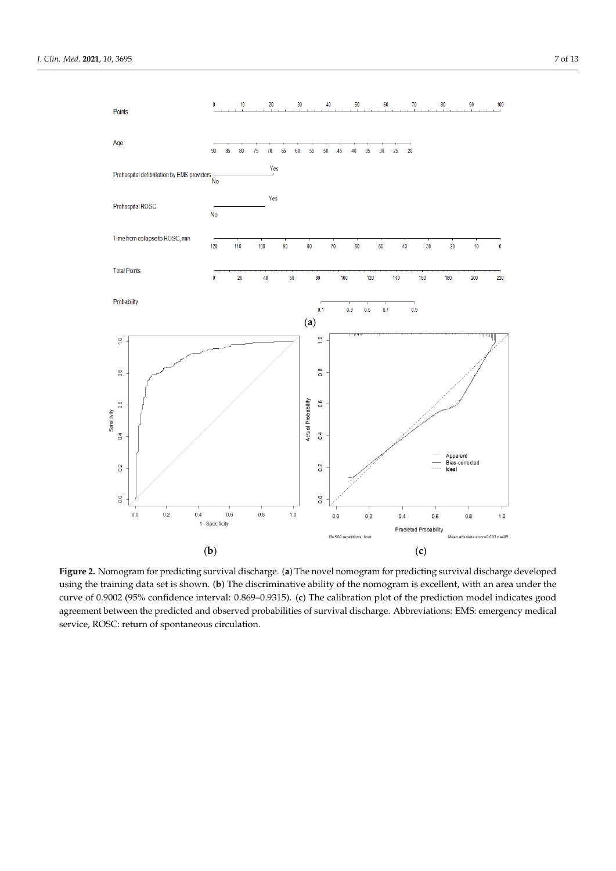<span id="page-6-0"></span>

Figure 2. Nomogram for predicting survival discharge. (a) The novel nomogram for predicting survival discharge developed using the training data set is shown. (b) The discriminative ability of the nomogram is excellent, with an area under the curve of 0.9002 (95% confidence interval: 0.869-0.9315). (c) The calibration plot of the prediction model indicates good agreement between the predicted and observed probabilities of survival discharge. Abbreviations: EMS: emergency medical ical service, ROSC: return of spontaneous circulation. service, ROSC: return of spontaneous circulation.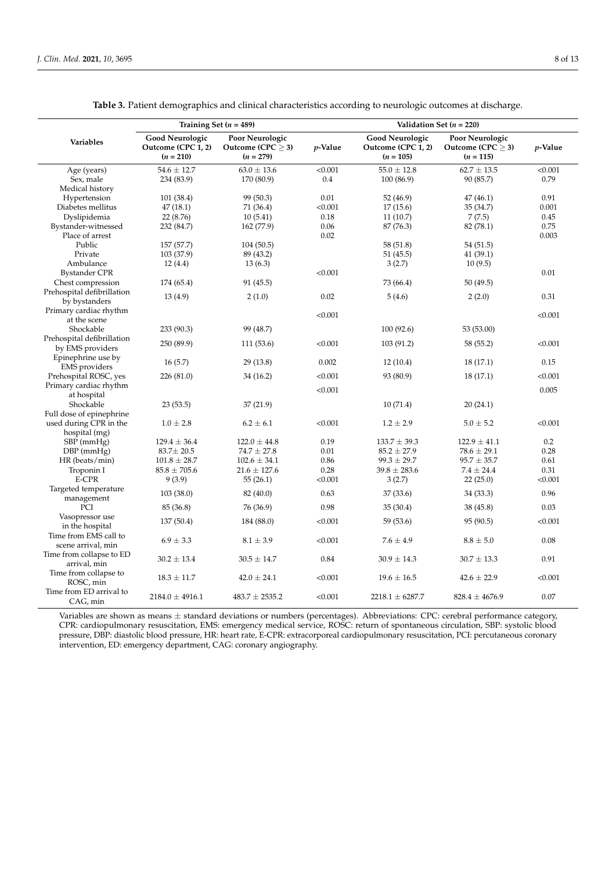<span id="page-7-0"></span>

|                                                | Training Set $(n = 489)$                                    |                                                          |         | Validation Set $(n = 220)$                                  |                                                          |         |  |
|------------------------------------------------|-------------------------------------------------------------|----------------------------------------------------------|---------|-------------------------------------------------------------|----------------------------------------------------------|---------|--|
| <b>Variables</b>                               | <b>Good Neurologic</b><br>Outcome (CPC 1, 2)<br>$(n = 210)$ | Poor Neurologic<br>Outcome (CPC $\geq$ 3)<br>$(n = 279)$ | p-Value | <b>Good Neurologic</b><br>Outcome (CPC 1, 2)<br>$(n = 105)$ | Poor Neurologic<br>Outcome (CPC $\geq$ 3)<br>$(n = 115)$ | p-Value |  |
| Age (years)                                    | $54.6 \pm 12.7$                                             | $63.0 \pm 13.6$                                          | < 0.001 | $55.0 \pm 12.8$                                             | $62.7 \pm 13.5$                                          | < 0.001 |  |
| Sex, male                                      | 234 (83.9)                                                  | 170 (80.9)                                               | 0.4     | 100(86.9)                                                   | 90 (85.7)                                                | 0.79    |  |
| Medical history                                |                                                             |                                                          |         |                                                             |                                                          |         |  |
| Hypertension                                   | 101 (38.4)                                                  | 99 (50.3)                                                | 0.01    | 52 (46.9)                                                   | 47 (46.1)                                                | 0.91    |  |
| Diabetes mellitus                              | 47(18.1)                                                    | 71 (36.4)                                                | < 0.001 | 17(15.6)                                                    | 35 (34.7)                                                | 0.001   |  |
| Dyslipidemia                                   | 22 (8.76)                                                   | 10(5.41)                                                 | 0.18    | 11(10.7)                                                    | 7(7.5)                                                   | 0.45    |  |
| Bystander-witnessed                            | 232 (84.7)                                                  | 162 (77.9)                                               | 0.06    | 87 (76.3)                                                   | 82 (78.1)                                                | 0.75    |  |
| Place of arrest                                |                                                             |                                                          | 0.02    |                                                             |                                                          | 0.003   |  |
| Public                                         | 157 (57.7)                                                  | 104 (50.5)                                               |         | 58 (51.8)                                                   | 54 (51.5)                                                |         |  |
| Private                                        | 103 (37.9)                                                  | 89 (43.2)                                                |         | 51 (45.5)                                                   | 41 (39.1)                                                |         |  |
| Ambulance                                      | 12(4.4)                                                     | 13(6.3)                                                  |         | 3(2.7)                                                      | 10(9.5)                                                  |         |  |
| <b>Bystander CPR</b>                           |                                                             |                                                          | < 0.001 |                                                             |                                                          | 0.01    |  |
| Chest compression                              | 174 (65.4)                                                  | 91 (45.5)                                                |         | 73 (66.4)                                                   | 50 (49.5)                                                |         |  |
| Prehospital defibrillation<br>by bystanders    | 13(4.9)                                                     | 2(1.0)                                                   | 0.02    | 5(4.6)                                                      | 2(2.0)                                                   | 0.31    |  |
| Primary cardiac rhythm                         |                                                             |                                                          | < 0.001 |                                                             |                                                          | < 0.001 |  |
| at the scene                                   |                                                             |                                                          |         |                                                             |                                                          |         |  |
| Shockable                                      | 233 (90.3)                                                  | 99 (48.7)                                                |         | 100 (92.6)                                                  | 53 (53.00)                                               |         |  |
| Prehospital defibrillation<br>by EMS providers | 250 (89.9)                                                  | 111 (53.6)                                               | < 0.001 | 103 (91.2)                                                  | 58 (55.2)                                                | < 0.001 |  |
| Epinephrine use by<br><b>EMS</b> providers     | 16(5.7)                                                     | 29(13.8)                                                 | 0.002   | 12(10.4)                                                    | 18(17.1)                                                 | 0.15    |  |
| Prehospital ROSC, yes                          | 226 (81.0)                                                  | 34 (16.2)                                                | < 0.001 | 93 (80.9)                                                   | 18 (17.1)                                                | < 0.001 |  |
| Primary cardiac rhythm                         |                                                             |                                                          |         |                                                             |                                                          |         |  |
| at hospital                                    |                                                             |                                                          | < 0.001 |                                                             |                                                          | 0.005   |  |
| Shockable                                      | 23(53.5)                                                    | 37(21.9)                                                 |         | 10(71.4)                                                    | 20(24.1)                                                 |         |  |
| Full dose of epinephrine                       |                                                             |                                                          |         |                                                             |                                                          |         |  |
| used during CPR in the<br>hospital (mg)        | $1.0 \pm 2.8$                                               | $6.2 \pm 6.1$                                            | < 0.001 | $1.2 \pm 2.9$                                               | $5.0 \pm 5.2$                                            | < 0.001 |  |
| SBP (mmHg)                                     | $129.4 \pm 36.4$                                            | $122.0 \pm 44.8$                                         | 0.19    | $133.7 \pm 39.3$                                            | $122.9 \pm 41.1$                                         | 0.2     |  |
| $DBP$ (mmHg)                                   | $83.7 \pm 20.5$                                             | $74.7 \pm 27.8$                                          | 0.01    | $85.2 \pm 27.9$                                             | $78.6 \pm 29.1$                                          | 0.28    |  |
| HR (beats/min)                                 | $101.8 \pm 28.7$                                            | $102.6 \pm 34.1$                                         | 0.86    | $99.3 \pm 29.7$                                             | $95.7 \pm 35.7$                                          | 0.61    |  |
| Troponin I                                     | $85.8 \pm 705.6$                                            | $21.6 \pm 127.6$                                         | 0.28    | $39.8 \pm 283.6$                                            | $7.4 \pm 24.4$                                           | 0.31    |  |
| E-CPR                                          | 9(3.9)                                                      | 55(26.1)                                                 | < 0.001 | 3(2.7)                                                      | 22(25.0)                                                 | < 0.001 |  |
| Targeted temperature<br>management             | 103(38.0)                                                   | 82 (40.0)                                                | 0.63    | 37 (33.6)                                                   | 34 (33.3)                                                | 0.96    |  |
| PCI                                            | 85 (36.8)                                                   | 76 (36.9)                                                | 0.98    | 35(30.4)                                                    | 38 (45.8)                                                | 0.03    |  |
| Vasopressor use<br>in the hospital             | 137 (50.4)                                                  | 184 (88.0)                                               | < 0.001 | 59 (53.6)                                                   | 95 (90.5)                                                | < 0.001 |  |
| Time from EMS call to<br>scene arrival, min    | $6.9 \pm 3.3$                                               | $8.1 \pm 3.9$                                            | < 0.001 | $7.6 \pm 4.9$                                               | $8.8 \pm 5.0$                                            | 0.08    |  |
| Time from collapse to ED<br>arrival, min       | $30.2 \pm 13.4$                                             | $30.5 \pm 14.7$                                          | 0.84    | $30.9 \pm 14.3$                                             | $30.7 \pm 13.3$                                          | 0.91    |  |
| Time from collapse to<br>ROSC, min             | $18.3 \pm 11.7$                                             | $42.0 \pm 24.1$                                          | < 0.001 | $19.6 \pm 16.5$                                             | $42.6 \pm 22.9$                                          | < 0.001 |  |
| Time from ED arrival to<br>CAG, min            | $2184.0 \pm 4916.1$                                         | $483.7 \pm 2535.2$                                       | < 0.001 | $2218.1 \pm 6287.7$                                         | $828.4 \pm 4676.9$                                       | 0.07    |  |

**Table 3.** Patient demographics and clinical characteristics according to neurologic outcomes at discharge.

Variables are shown as means  $\pm$  standard deviations or numbers (percentages). Abbreviations: CPC: cerebral performance category, CPR: cardiopulmonary resuscitation, EMS: emergency medical service, ROSC: return of spontaneous circulation, SBP: systolic blood pressure, DBP: diastolic blood pressure, HR: heart rate, E-CPR: extracorporeal cardiopulmonary resuscitation, PCI: percutaneous coronary intervention, ED: emergency department, CAG: coronary angiography.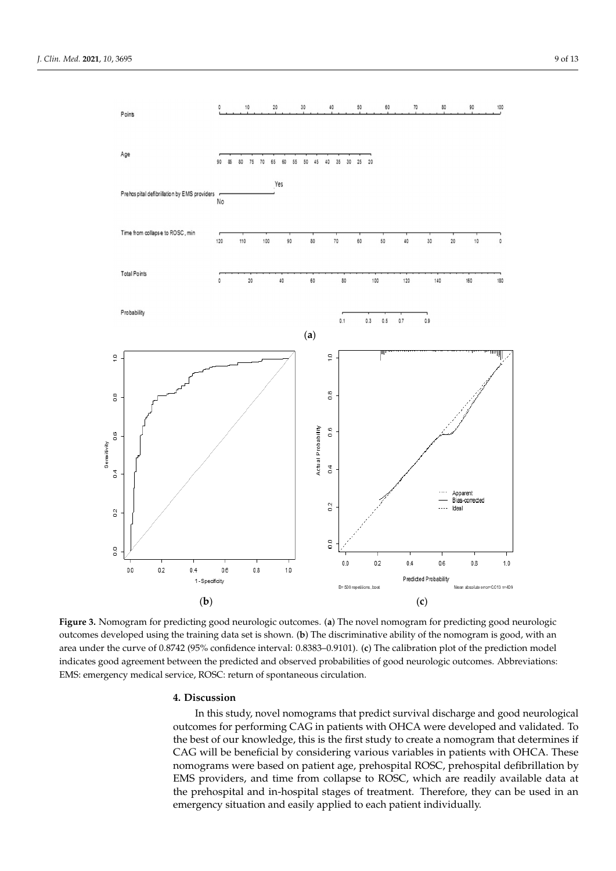<span id="page-8-0"></span>

Figure 3. Nomogram for predicting good neurologic outcomes. (a) The novel nomogram for predicting good neurologic outcomes developed using the training data set is shown. (b) The discriminative ability of the nomogram is good, with an area under the curve of 0.8742 (95% confidence interval: 0.8383-0.9101). (c) The calibration plot of the prediction model indicates good agreement between the predicted and observed probabilities of good neurologic outcomes. Abbreviations: EMS: emergency medical service, ROSC: return of spontaneous circulation. EMS: emergency medical service, ROSC: return of spontaneous circulation.

# **4. Discussion 4. Discussion**

In this study, novel nomograms that predict survival discharge and good neurological outcomes for performing CAG in patients with OHCA were developed and validated. To the best of our knowledge, this is the first study to create a nomogram that determines if CAG will be beneficial by considering various variables in patients with OHCA. These nomograms were based on patient age, prehospital ROSC, prehospital defibrillation by nomograms were based on patient age, prehospital ROSC, prehospital defibrillation by EMS providers, and time from collapse to ROSC, which are readily available data at the prehospital and in-hospital stages of treatment. Therefore, they can be used in an gency situation and easily applied to each patient individually. emergency situation and easily applied to each patient individually.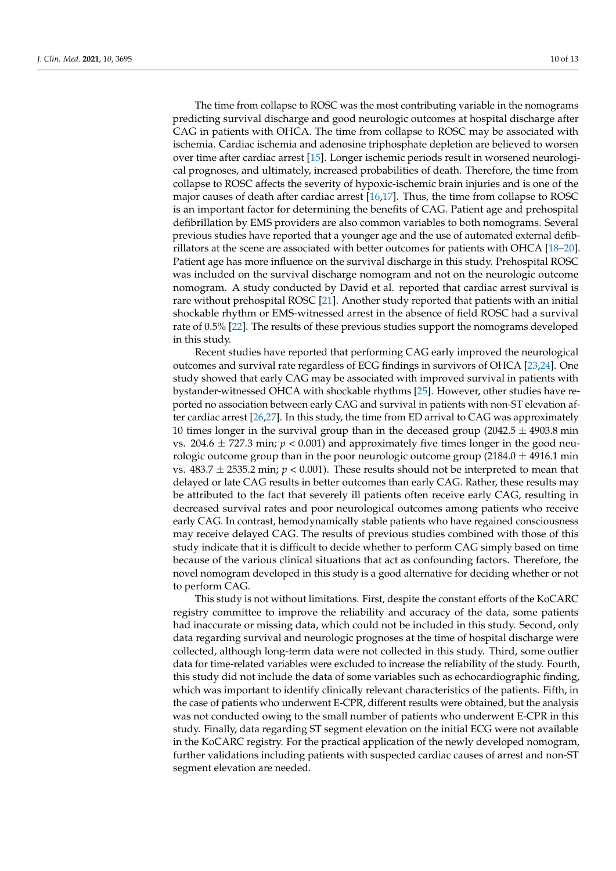The time from collapse to ROSC was the most contributing variable in the nomograms predicting survival discharge and good neurologic outcomes at hospital discharge after CAG in patients with OHCA. The time from collapse to ROSC may be associated with ischemia. Cardiac ischemia and adenosine triphosphate depletion are believed to worsen over time after cardiac arrest [\[15\]](#page-12-3). Longer ischemic periods result in worsened neurological prognoses, and ultimately, increased probabilities of death. Therefore, the time from collapse to ROSC affects the severity of hypoxic-ischemic brain injuries and is one of the major causes of death after cardiac arrest [\[16](#page-12-4)[,17\]](#page-12-5). Thus, the time from collapse to ROSC is an important factor for determining the benefits of CAG. Patient age and prehospital defibrillation by EMS providers are also common variables to both nomograms. Several previous studies have reported that a younger age and the use of automated external defibrillators at the scene are associated with better outcomes for patients with OHCA [\[18](#page-12-6)[–20\]](#page-12-7). Patient age has more influence on the survival discharge in this study. Prehospital ROSC was included on the survival discharge nomogram and not on the neurologic outcome nomogram. A study conducted by David et al. reported that cardiac arrest survival is rare without prehospital ROSC [\[21\]](#page-12-8). Another study reported that patients with an initial shockable rhythm or EMS-witnessed arrest in the absence of field ROSC had a survival rate of 0.5% [\[22\]](#page-12-9). The results of these previous studies support the nomograms developed in this study.

Recent studies have reported that performing CAG early improved the neurological outcomes and survival rate regardless of ECG findings in survivors of OHCA [\[23](#page-12-10)[,24\]](#page-12-11). One study showed that early CAG may be associated with improved survival in patients with bystander-witnessed OHCA with shockable rhythms [\[25\]](#page-12-12). However, other studies have reported no association between early CAG and survival in patients with non-ST elevation after cardiac arrest [\[26,](#page-12-13)[27\]](#page-12-14). In this study, the time from ED arrival to CAG was approximately 10 times longer in the survival group than in the deceased group (2042.5  $\pm$  4903.8 min vs. 204.6  $\pm$  727.3 min;  $p < 0.001$ ) and approximately five times longer in the good neurologic outcome group than in the poor neurologic outcome group (2184.0  $\pm$  4916.1 min vs.  $483.7 \pm 2535.2$  min;  $p < 0.001$ ). These results should not be interpreted to mean that delayed or late CAG results in better outcomes than early CAG. Rather, these results may be attributed to the fact that severely ill patients often receive early CAG, resulting in decreased survival rates and poor neurological outcomes among patients who receive early CAG. In contrast, hemodynamically stable patients who have regained consciousness may receive delayed CAG. The results of previous studies combined with those of this study indicate that it is difficult to decide whether to perform CAG simply based on time because of the various clinical situations that act as confounding factors. Therefore, the novel nomogram developed in this study is a good alternative for deciding whether or not to perform CAG.

This study is not without limitations. First, despite the constant efforts of the KoCARC registry committee to improve the reliability and accuracy of the data, some patients had inaccurate or missing data, which could not be included in this study. Second, only data regarding survival and neurologic prognoses at the time of hospital discharge were collected, although long-term data were not collected in this study. Third, some outlier data for time-related variables were excluded to increase the reliability of the study. Fourth, this study did not include the data of some variables such as echocardiographic finding, which was important to identify clinically relevant characteristics of the patients. Fifth, in the case of patients who underwent E-CPR, different results were obtained, but the analysis was not conducted owing to the small number of patients who underwent E-CPR in this study. Finally, data regarding ST segment elevation on the initial ECG were not available in the KoCARC registry. For the practical application of the newly developed nomogram, further validations including patients with suspected cardiac causes of arrest and non-ST segment elevation are needed.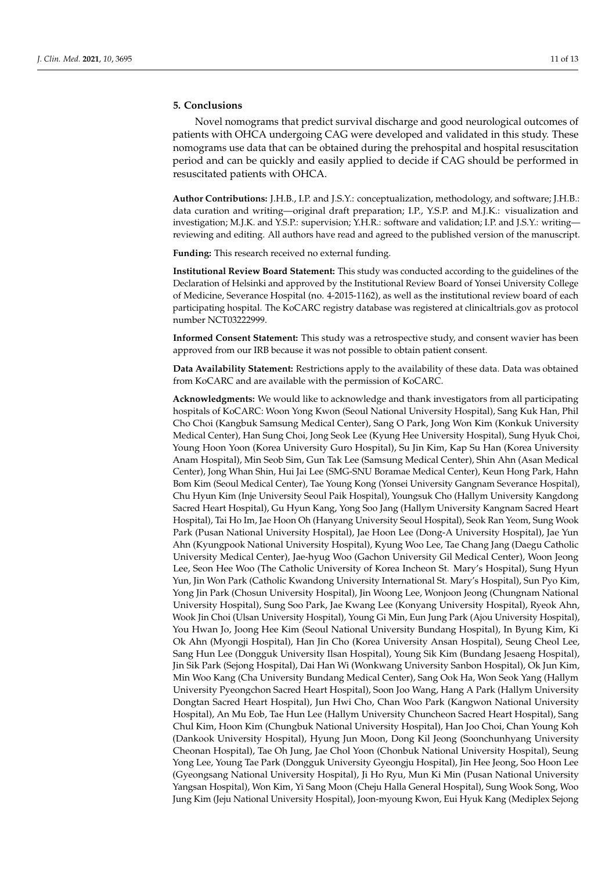# **5. Conclusions**

Novel nomograms that predict survival discharge and good neurological outcomes of patients with OHCA undergoing CAG were developed and validated in this study. These nomograms use data that can be obtained during the prehospital and hospital resuscitation period and can be quickly and easily applied to decide if CAG should be performed in resuscitated patients with OHCA.

**Author Contributions:** J.H.B., I.P. and J.S.Y.: conceptualization, methodology, and software; J.H.B.: data curation and writing—original draft preparation; I.P., Y.S.P. and M.J.K.: visualization and investigation; M.J.K. and Y.S.P.: supervision; Y.H.R.: software and validation; I.P. and J.S.Y.: writing reviewing and editing. All authors have read and agreed to the published version of the manuscript.

**Funding:** This research received no external funding.

**Institutional Review Board Statement:** This study was conducted according to the guidelines of the Declaration of Helsinki and approved by the Institutional Review Board of Yonsei University College of Medicine, Severance Hospital (no. 4-2015-1162), as well as the institutional review board of each participating hospital. The KoCARC registry database was registered at clinicaltrials.gov as protocol number NCT03222999.

**Informed Consent Statement:** This study was a retrospective study, and consent wavier has been approved from our IRB because it was not possible to obtain patient consent.

**Data Availability Statement:** Restrictions apply to the availability of these data. Data was obtained from KoCARC and are available with the permission of KoCARC.

**Acknowledgments:** We would like to acknowledge and thank investigators from all participating hospitals of KoCARC: Woon Yong Kwon (Seoul National University Hospital), Sang Kuk Han, Phil Cho Choi (Kangbuk Samsung Medical Center), Sang O Park, Jong Won Kim (Konkuk University Medical Center), Han Sung Choi, Jong Seok Lee (Kyung Hee University Hospital), Sung Hyuk Choi, Young Hoon Yoon (Korea University Guro Hospital), Su Jin Kim, Kap Su Han (Korea University Anam Hospital), Min Seob Sim, Gun Tak Lee (Samsung Medical Center), Shin Ahn (Asan Medical Center), Jong Whan Shin, Hui Jai Lee (SMG-SNU Boramae Medical Center), Keun Hong Park, Hahn Bom Kim (Seoul Medical Center), Tae Young Kong (Yonsei University Gangnam Severance Hospital), Chu Hyun Kim (Inje University Seoul Paik Hospital), Youngsuk Cho (Hallym University Kangdong Sacred Heart Hospital), Gu Hyun Kang, Yong Soo Jang (Hallym University Kangnam Sacred Heart Hospital), Tai Ho Im, Jae Hoon Oh (Hanyang University Seoul Hospital), Seok Ran Yeom, Sung Wook Park (Pusan National University Hospital), Jae Hoon Lee (Dong-A University Hospital), Jae Yun Ahn (Kyungpook National University Hospital), Kyung Woo Lee, Tae Chang Jang (Daegu Catholic University Medical Center), Jae-hyug Woo (Gachon University Gil Medical Center), Woon Jeong Lee, Seon Hee Woo (The Catholic University of Korea Incheon St. Mary's Hospital), Sung Hyun Yun, Jin Won Park (Catholic Kwandong University International St. Mary's Hospital), Sun Pyo Kim, Yong Jin Park (Chosun University Hospital), Jin Woong Lee, Wonjoon Jeong (Chungnam National University Hospital), Sung Soo Park, Jae Kwang Lee (Konyang University Hospital), Ryeok Ahn, Wook Jin Choi (Ulsan University Hospital), Young Gi Min, Eun Jung Park (Ajou University Hospital), You Hwan Jo, Joong Hee Kim (Seoul National University Bundang Hospital), In Byung Kim, Ki Ok Ahn (Myongji Hospital), Han Jin Cho (Korea University Ansan Hospital), Seung Cheol Lee, Sang Hun Lee (Dongguk University Ilsan Hospital), Young Sik Kim (Bundang Jesaeng Hospital), Jin Sik Park (Sejong Hospital), Dai Han Wi (Wonkwang University Sanbon Hospital), Ok Jun Kim, Min Woo Kang (Cha University Bundang Medical Center), Sang Ook Ha, Won Seok Yang (Hallym University Pyeongchon Sacred Heart Hospital), Soon Joo Wang, Hang A Park (Hallym University Dongtan Sacred Heart Hospital), Jun Hwi Cho, Chan Woo Park (Kangwon National University Hospital), An Mu Eob, Tae Hun Lee (Hallym University Chuncheon Sacred Heart Hospital), Sang Chul Kim, Hoon Kim (Chungbuk National University Hospital), Han Joo Choi, Chan Young Koh (Dankook University Hospital), Hyung Jun Moon, Dong Kil Jeong (Soonchunhyang University Cheonan Hospital), Tae Oh Jung, Jae Chol Yoon (Chonbuk National University Hospital), Seung Yong Lee, Young Tae Park (Dongguk University Gyeongju Hospital), Jin Hee Jeong, Soo Hoon Lee (Gyeongsang National University Hospital), Ji Ho Ryu, Mun Ki Min (Pusan National University Yangsan Hospital), Won Kim, Yi Sang Moon (Cheju Halla General Hospital), Sung Wook Song, Woo Jung Kim (Jeju National University Hospital), Joon-myoung Kwon, Eui Hyuk Kang (Mediplex Sejong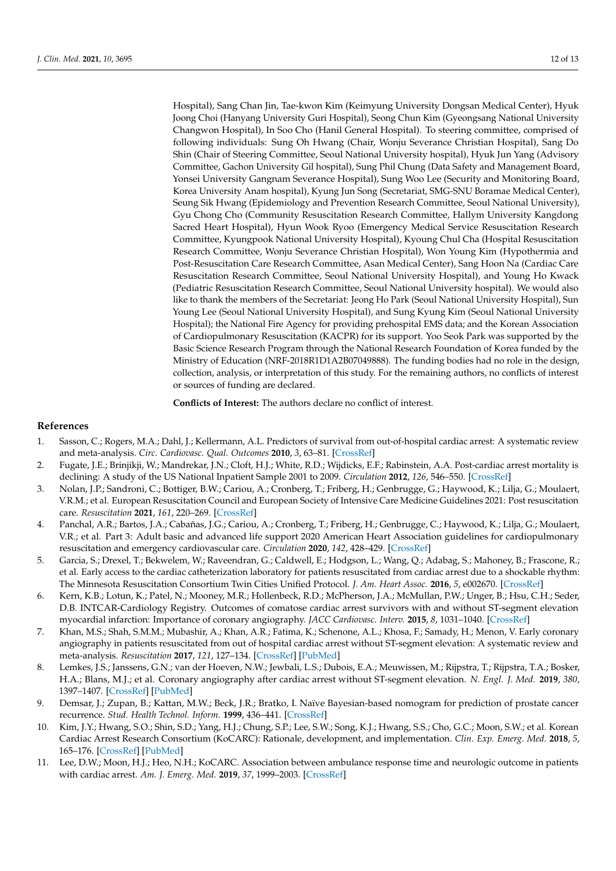Hospital), Sang Chan Jin, Tae-kwon Kim (Keimyung University Dongsan Medical Center), Hyuk Joong Choi (Hanyang University Guri Hospital), Seong Chun Kim (Gyeongsang National University Changwon Hospital), In Soo Cho (Hanil General Hospital). To steering committee, comprised of following individuals: Sung Oh Hwang (Chair, Wonju Severance Christian Hospital), Sang Do Shin (Chair of Steering Committee, Seoul National University hospital), Hyuk Jun Yang (Advisory Committee, Gachon University Gil hospital), Sung Phil Chung (Data Safety and Management Board, Yonsei University Gangnam Severance Hospital), Sung Woo Lee (Security and Monitoring Board, Korea University Anam hospital), Kyung Jun Song (Secretariat, SMG-SNU Boramae Medical Center), Seung Sik Hwang (Epidemiology and Prevention Research Committee, Seoul National University), Gyu Chong Cho (Community Resuscitation Research Committee, Hallym University Kangdong Sacred Heart Hospital), Hyun Wook Ryoo (Emergency Medical Service Resuscitation Research Committee, Kyungpook National University Hospital), Kyoung Chul Cha (Hospital Resuscitation Research Committee, Wonju Severance Christian Hospital), Won Young Kim (Hypothermia and Post-Resuscitation Care Research Committee, Asan Medical Center), Sang Hoon Na (Cardiac Care Resuscitation Research Committee, Seoul National University Hospital), and Young Ho Kwack (Pediatric Resuscitation Research Committee, Seoul National University hospital). We would also like to thank the members of the Secretariat: Jeong Ho Park (Seoul National University Hospital), Sun Young Lee (Seoul National University Hospital), and Sung Kyung Kim (Seoul National University Hospital); the National Fire Agency for providing prehospital EMS data; and the Korean Association of Cardiopulmonary Resuscitation (KACPR) for its support. Yoo Seok Park was supported by the Basic Science Research Program through the National Research Foundation of Korea funded by the Ministry of Education (NRF-2018R1D1A2B07049888). The funding bodies had no role in the design, collection, analysis, or interpretation of this study. For the remaining authors, no conflicts of interest or sources of funding are declared.

**Conflicts of Interest:** The authors declare no conflict of interest.

# **References**

- <span id="page-11-0"></span>1. Sasson, C.; Rogers, M.A.; Dahl, J.; Kellermann, A.L. Predictors of survival from out-of-hospital cardiac arrest: A systematic review and meta-analysis. *Circ. Cardiovasc. Qual. Outcomes* **2010**, *3*, 63–81. [\[CrossRef\]](http://doi.org/10.1161/CIRCOUTCOMES.109.889576)
- <span id="page-11-1"></span>2. Fugate, J.E.; Brinjikji, W.; Mandrekar, J.N.; Cloft, H.J.; White, R.D.; Wijdicks, E.F.; Rabinstein, A.A. Post-cardiac arrest mortality is declining: A study of the US National Inpatient Sample 2001 to 2009. *Circulation* **2012**, *126*, 546–550. [\[CrossRef\]](http://doi.org/10.1161/CIRCULATIONAHA.111.088807)
- <span id="page-11-2"></span>3. Nolan, J.P.; Sandroni, C.; Bottiger, B.W.; Cariou, A.; Cronberg, T.; Friberg, H.; Genbrugge, G.; Haywood, K.; Lilja, G.; Moulaert, V.R.M.; et al. European Resuscitation Council and European Society of Intensive Care Medicine Guidelines 2021: Post resuscitation care. *Resuscitation* **2021**, *161*, 220–269. [\[CrossRef\]](http://doi.org/10.1016/j.resuscitation.2021.02.012)
- <span id="page-11-3"></span>4. Panchal, A.R.; Bartos, J.A.; Cabañas, J.G.; Cariou, A.; Cronberg, T.; Friberg, H.; Genbrugge, C.; Haywood, K.; Lilja, G.; Moulaert, V.R.; et al. Part 3: Adult basic and advanced life support 2020 American Heart Association guidelines for cardiopulmonary resuscitation and emergency cardiovascular care. *Circulation* **2020**, *142*, 428–429. [\[CrossRef\]](http://doi.org/10.1161/CIR.0000000000000916)
- <span id="page-11-4"></span>5. Garcia, S.; Drexel, T.; Bekwelem, W.; Raveendran, G.; Caldwell, E.; Hodgson, L.; Wang, Q.; Adabag, S.; Mahoney, B.; Frascone, R.; et al. Early access to the cardiac catheterization laboratory for patients resuscitated from cardiac arrest due to a shockable rhythm: The Minnesota Resuscitation Consortium Twin Cities Unified Protocol. *J. Am. Heart Assoc.* **2016**, *5*, e002670. [\[CrossRef\]](http://doi.org/10.1161/JAHA.115.002670)
- 6. Kern, K.B.; Lotun, K.; Patel, N.; Mooney, M.R.; Hollenbeck, R.D.; McPherson, J.A.; McMullan, P.W.; Unger, B.; Hsu, C.H.; Seder, D.B. INTCAR-Cardiology Registry. Outcomes of comatose cardiac arrest survivors with and without ST-segment elevation myocardial infarction: Importance of coronary angiography. *JACC Cardiovasc. Interv.* **2015**, *8*, 1031–1040. [\[CrossRef\]](http://doi.org/10.1016/j.jcin.2015.02.021)
- <span id="page-11-5"></span>7. Khan, M.S.; Shah, S.M.M.; Mubashir, A.; Khan, A.R.; Fatima, K.; Schenone, A.L.; Khosa, F.; Samady, H.; Menon, V. Early coronary angiography in patients resuscitated from out of hospital cardiac arrest without ST-segment elevation: A systematic review and meta-analysis. *Resuscitation* **2017**, *121*, 127–134. [\[CrossRef\]](http://doi.org/10.1016/j.resuscitation.2017.10.019) [\[PubMed\]](http://www.ncbi.nlm.nih.gov/pubmed/29079508)
- <span id="page-11-6"></span>8. Lemkes, J.S.; Janssens, G.N.; van der Hoeven, N.W.; Jewbali, L.S.; Dubois, E.A.; Meuwissen, M.; Rijpstra, T.; Rijpstra, T.A.; Bosker, H.A.; Blans, M.J.; et al. Coronary angiography after cardiac arrest without ST-segment elevation. *N. Engl. J. Med.* **2019**, *380*, 1397–1407. [\[CrossRef\]](http://doi.org/10.1056/NEJMoa1816897) [\[PubMed\]](http://www.ncbi.nlm.nih.gov/pubmed/30883057)
- <span id="page-11-7"></span>9. Demsar, J.; Zupan, B.; Kattan, M.W.; Beck, J.R.; Bratko, I. Naïve Bayesian-based nomogram for prediction of prostate cancer recurrence. *Stud. Health Technol. Inform.* **1999**, 436–441. [\[CrossRef\]](http://doi.org/10.3233/978-1-60750-912-7-436)
- <span id="page-11-8"></span>10. Kim, J.Y.; Hwang, S.O.; Shin, S.D.; Yang, H.J.; Chung, S.P.; Lee, S.W.; Song, K.J.; Hwang, S.S.; Cho, G.C.; Moon, S.W.; et al. Korean Cardiac Arrest Research Consortium (KoCARC): Rationale, development, and implementation. *Clin. Exp. Emerg. Med.* **2018**, *5*, 165–176. [\[CrossRef\]](http://doi.org/10.15441/ceem.17.259) [\[PubMed\]](http://www.ncbi.nlm.nih.gov/pubmed/30269452)
- <span id="page-11-9"></span>11. Lee, D.W.; Moon, H.J.; Heo, N.H.; KoCARC. Association between ambulance response time and neurologic outcome in patients with cardiac arrest. *Am. J. Emerg. Med.* **2019**, *37*, 1999–2003. [\[CrossRef\]](http://doi.org/10.1016/j.ajem.2019.02.021)